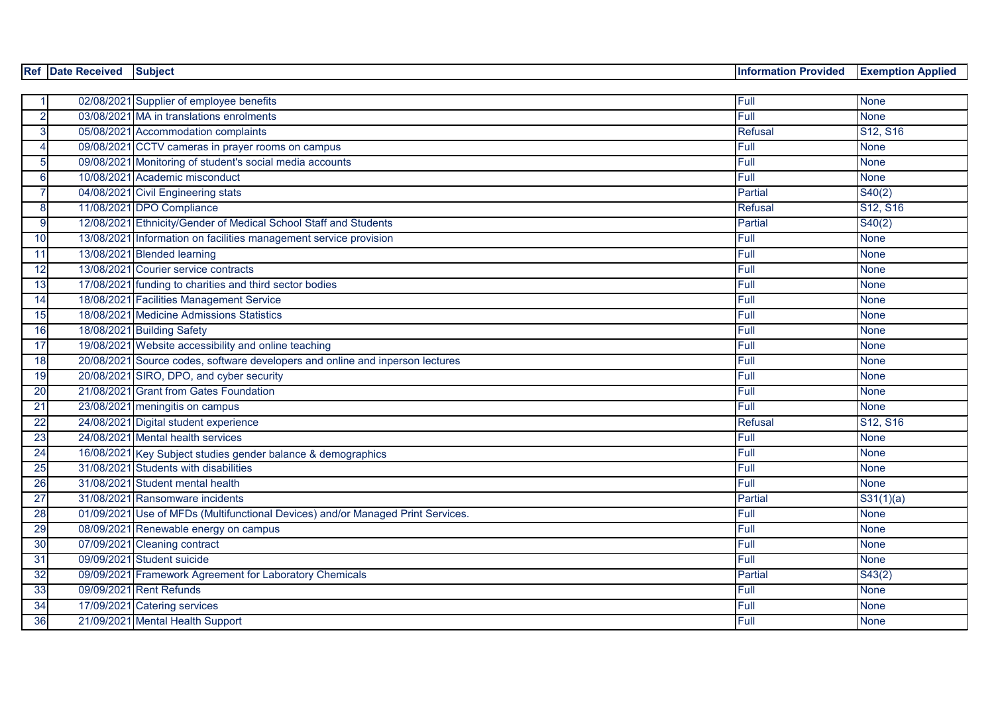|                | <b>Ref Date Received</b> | <b>Subject</b>                                                                  | <b>Information Provided</b> | <b>Exemption Applied</b> |
|----------------|--------------------------|---------------------------------------------------------------------------------|-----------------------------|--------------------------|
|                |                          |                                                                                 |                             |                          |
|                |                          | 02/08/2021 Supplier of employee benefits                                        | Full                        | <b>None</b>              |
| $\overline{2}$ |                          | 03/08/2021 MA in translations enrolments                                        | Full                        | <b>None</b>              |
| 3              |                          | 05/08/2021 Accommodation complaints                                             | <b>Refusal</b>              | S12, S16                 |
|                |                          | 09/08/2021 CCTV cameras in prayer rooms on campus                               | Full                        | <b>None</b>              |
| 5              |                          | 09/08/2021 Monitoring of student's social media accounts                        | Full                        | <b>None</b>              |
| 6              |                          | 10/08/2021 Academic misconduct                                                  | Full                        | <b>None</b>              |
|                |                          | 04/08/2021 Civil Engineering stats                                              | <b>Partial</b>              | S40(2)                   |
| 8              |                          | 11/08/2021 DPO Compliance                                                       | <b>Refusal</b>              | S12, S16                 |
| 9              |                          | 12/08/2021 Ethnicity/Gender of Medical School Staff and Students                | <b>Partial</b>              | S40(2)                   |
| 10             |                          | 13/08/2021 Information on facilities management service provision               | Full                        | <b>None</b>              |
| 11             |                          | 13/08/2021 Blended learning                                                     | Full                        | <b>None</b>              |
| 12             |                          | 13/08/2021 Courier service contracts                                            | Full                        | <b>None</b>              |
| 13             |                          | 17/08/2021 funding to charities and third sector bodies                         | Full                        | <b>None</b>              |
| 14             |                          | 18/08/2021 Facilities Management Service                                        | Full                        | <b>None</b>              |
| 15             |                          | 18/08/2021 Medicine Admissions Statistics                                       | Full                        | <b>None</b>              |
| 16             |                          | 18/08/2021 Building Safety                                                      | Full                        | <b>None</b>              |
| 17             |                          | 19/08/2021 Website accessibility and online teaching                            | Full                        | <b>None</b>              |
| 18             |                          | 20/08/2021 Source codes, software developers and online and inperson lectures   | Full                        | <b>None</b>              |
| 19             |                          | 20/08/2021 SIRO, DPO, and cyber security                                        | Full                        | <b>None</b>              |
| 20             |                          | 21/08/2021 Grant from Gates Foundation                                          | Full                        | <b>None</b>              |
| 21             |                          | 23/08/2021 meningitis on campus                                                 | Full                        | <b>None</b>              |
| 22             |                          | 24/08/2021 Digital student experience                                           | <b>Refusal</b>              | S12, S16                 |
| 23             |                          | 24/08/2021 Mental health services                                               | Full                        | <b>None</b>              |
| 24             |                          | 16/08/2021 Key Subject studies gender balance & demographics                    | Full                        | <b>None</b>              |
| 25             |                          | 31/08/2021 Students with disabilities                                           | Full                        | <b>None</b>              |
| 26             |                          | 31/08/2021 Student mental health                                                | Full                        | <b>None</b>              |
| 27             |                          | 31/08/2021 Ransomware incidents                                                 | <b>Partial</b>              | S31(1)(a)                |
| 28             |                          | 01/09/2021 Use of MFDs (Multifunctional Devices) and/or Managed Print Services. | Full                        | <b>None</b>              |
| 29             |                          | 08/09/2021 Renewable energy on campus                                           | Full                        | <b>None</b>              |
| 30             |                          | 07/09/2021 Cleaning contract                                                    | Full                        | <b>None</b>              |
| 31             |                          | 09/09/2021 Student suicide                                                      | Full                        | None                     |
| 32             |                          | 09/09/2021 Framework Agreement for Laboratory Chemicals                         | <b>Partial</b>              | S43(2)                   |
| 33             |                          | 09/09/2021 Rent Refunds                                                         | Full                        | None                     |
| 34             |                          | 17/09/2021 Catering services                                                    | Full                        | <b>None</b>              |
| 36             |                          | 21/09/2021 Mental Health Support                                                | Full                        | <b>None</b>              |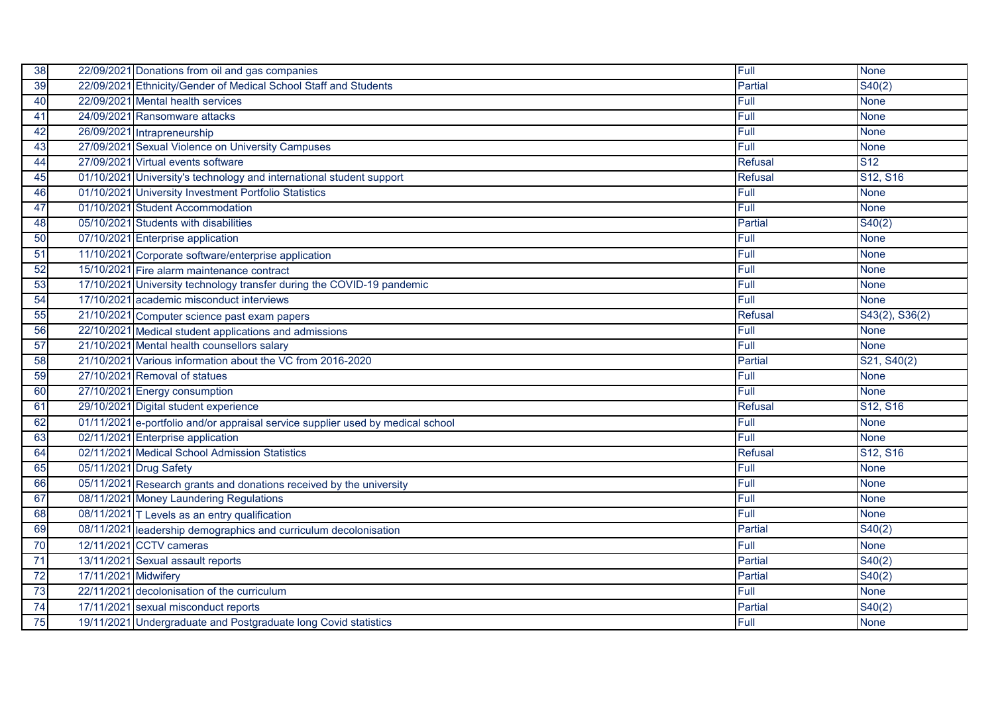| 38 |                      | 22/09/2021 Donations from oil and gas companies                                 | Full           | <b>None</b>                            |
|----|----------------------|---------------------------------------------------------------------------------|----------------|----------------------------------------|
| 39 |                      | 22/09/2021 Ethnicity/Gender of Medical School Staff and Students                | <b>Partial</b> | S40(2)                                 |
| 40 |                      | 22/09/2021 Mental health services                                               | Full           | <b>None</b>                            |
| 41 |                      | 24/09/2021 Ransomware attacks                                                   | Full           | <b>None</b>                            |
| 42 |                      | 26/09/2021 Intrapreneurship                                                     | Full           | <b>None</b>                            |
| 43 |                      | 27/09/2021 Sexual Violence on University Campuses                               | Full           | <b>None</b>                            |
| 44 |                      | 27/09/2021 Virtual events software                                              | <b>Refusal</b> | $\overline{S12}$                       |
| 45 |                      | 01/10/2021 University's technology and international student support            | Refusal        | S <sub>12</sub> , S <sub>16</sub>      |
| 46 |                      | 01/10/2021 University Investment Portfolio Statistics                           | Full           | <b>None</b>                            |
| 47 |                      | 01/10/2021 Student Accommodation                                                | Full           | <b>None</b>                            |
| 48 |                      | 05/10/2021 Students with disabilities                                           | Partial        | $\sqrt{540(2)}$                        |
| 50 |                      | 07/10/2021 Enterprise application                                               | Full           | <b>None</b>                            |
| 51 |                      | 11/10/2021 Corporate software/enterprise application                            | Full           | <b>None</b>                            |
| 52 |                      | 15/10/2021 Fire alarm maintenance contract                                      | Full           | <b>None</b>                            |
| 53 |                      | 17/10/2021 University technology transfer during the COVID-19 pandemic          | Full           | <b>None</b>                            |
| 54 |                      | 17/10/2021 academic misconduct interviews                                       | Full           | <b>None</b>                            |
| 55 |                      | 21/10/2021 Computer science past exam papers                                    | <b>Refusal</b> | S43(2), S36(2)                         |
| 56 |                      | 22/10/2021 Medical student applications and admissions                          | Full           | <b>None</b>                            |
| 57 |                      | 21/10/2021 Mental health counsellors salary                                     | Full           | <b>None</b>                            |
| 58 |                      | 21/10/2021 Various information about the VC from 2016-2020                      | Partial        | $\overline{S21}$ , $\overline{S40}(2)$ |
| 59 |                      | 27/10/2021 Removal of statues                                                   | Full           | <b>None</b>                            |
| 60 |                      | 27/10/2021 Energy consumption                                                   | Full           | <b>None</b>                            |
| 61 |                      | 29/10/2021 Digital student experience                                           | <b>Refusal</b> | S <sub>12</sub> , S <sub>16</sub>      |
| 62 |                      | 01/11/2021 e-portfolio and/or appraisal service supplier used by medical school | Full           | <b>None</b>                            |
| 63 |                      | 02/11/2021 Enterprise application                                               | Full           | <b>None</b>                            |
| 64 |                      | 02/11/2021 Medical School Admission Statistics                                  | <b>Refusal</b> | S <sub>12</sub> , S <sub>16</sub>      |
| 65 |                      | 05/11/2021 Drug Safety                                                          | Full           | <b>None</b>                            |
| 66 |                      | 05/11/2021 Research grants and donations received by the university             | Full           | <b>None</b>                            |
| 67 |                      | 08/11/2021 Money Laundering Regulations                                         | Full           | <b>None</b>                            |
| 68 |                      | 08/11/2021 T Levels as an entry qualification                                   | Full           | <b>None</b>                            |
| 69 |                      | 08/11/2021 leadership demographics and curriculum decolonisation                | Partial        | S40(2)                                 |
| 70 |                      | 12/11/2021 CCTV cameras                                                         | Full           | <b>None</b>                            |
| 71 |                      | 13/11/2021 Sexual assault reports                                               | Partial        | S40(2)                                 |
| 72 | 17/11/2021 Midwifery |                                                                                 | Partial        | S40(2)                                 |
| 73 |                      | 22/11/2021 decolonisation of the curriculum                                     | Full           | None                                   |
| 74 |                      | 17/11/2021 sexual misconduct reports                                            | Partial        | S40(2)                                 |
| 75 |                      | 19/11/2021 Undergraduate and Postgraduate long Covid statistics                 | Full           | <b>None</b>                            |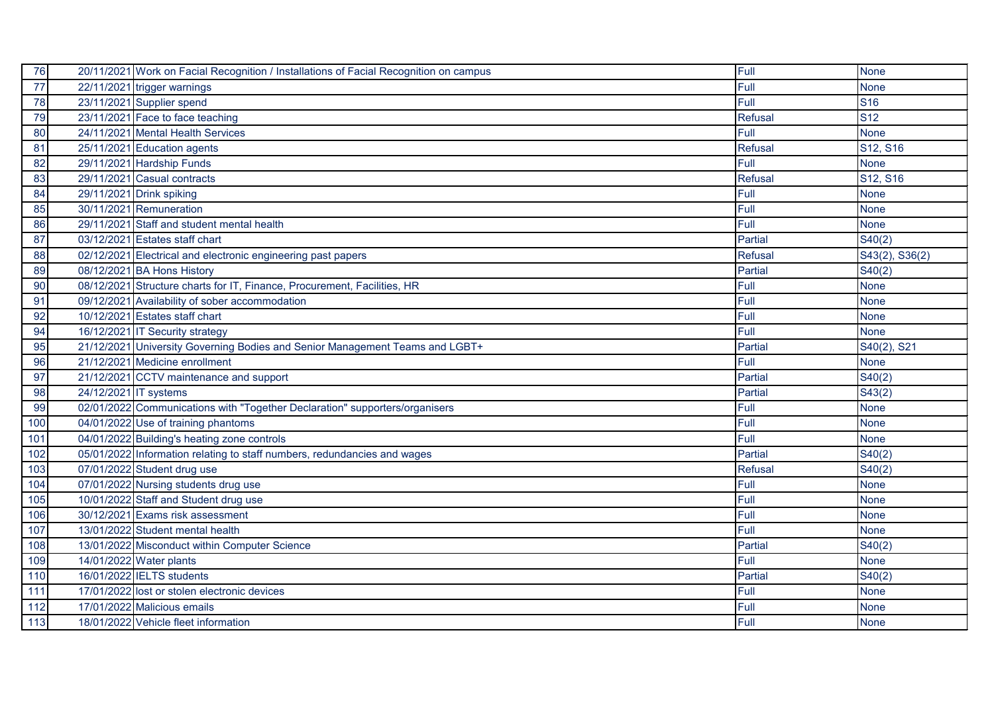| 76  | 20/11/2021 Work on Facial Recognition / Installations of Facial Recognition on campus | Full           | <b>None</b>    |
|-----|---------------------------------------------------------------------------------------|----------------|----------------|
| 77  | 22/11/2021 trigger warnings                                                           | Full           | <b>None</b>    |
| 78  | 23/11/2021 Supplier spend                                                             | Full           | <b>S16</b>     |
| 79  | 23/11/2021 Face to face teaching                                                      | <b>Refusal</b> | <b>S12</b>     |
| 80  | 24/11/2021 Mental Health Services                                                     | Full           | <b>None</b>    |
| 81  | 25/11/2021 Education agents                                                           | Refusal        | S12, S16       |
| 82  | 29/11/2021 Hardship Funds                                                             | Full           | <b>None</b>    |
| 83  | 29/11/2021 Casual contracts                                                           | <b>Refusal</b> | S12, S16       |
| 84  | 29/11/2021 Drink spiking                                                              | Full           | <b>None</b>    |
| 85  | 30/11/2021 Remuneration                                                               | Full           | <b>None</b>    |
| 86  | 29/11/2021 Staff and student mental health                                            | Full           | <b>None</b>    |
| 87  | 03/12/2021 Estates staff chart                                                        | <b>Partial</b> | S40(2)         |
| 88  | 02/12/2021 Electrical and electronic engineering past papers                          | <b>Refusal</b> | S43(2), S36(2) |
| 89  | 08/12/2021 BA Hons History                                                            | <b>Partial</b> | S40(2)         |
| 90  | 08/12/2021 Structure charts for IT, Finance, Procurement, Facilities, HR              | Full           | <b>None</b>    |
| 91  | 09/12/2021 Availability of sober accommodation                                        | Full           | <b>None</b>    |
| 92  | 10/12/2021 Estates staff chart                                                        | Full           | <b>None</b>    |
| 94  | 16/12/2021 IT Security strategy                                                       | Full           | <b>None</b>    |
| 95  | 21/12/2021 University Governing Bodies and Senior Management Teams and LGBT+          | <b>Partial</b> | S40(2), S21    |
| 96  | 21/12/2021 Medicine enrollment                                                        | Full           | None           |
| 97  | 21/12/2021 CCTV maintenance and support                                               | <b>Partial</b> | S40(2)         |
| 98  | 24/12/2021 IT systems                                                                 | <b>Partial</b> | S43(2)         |
| 99  | 02/01/2022 Communications with "Together Declaration" supporters/organisers           | Full           | <b>None</b>    |
| 100 | 04/01/2022 Use of training phantoms                                                   | Full           | <b>None</b>    |
| 101 | 04/01/2022 Building's heating zone controls                                           | Full           | <b>None</b>    |
| 102 | 05/01/2022 Information relating to staff numbers, redundancies and wages              | <b>Partial</b> | S40(2)         |
| 103 | 07/01/2022 Student drug use                                                           | <b>Refusal</b> | S40(2)         |
| 104 | 07/01/2022 Nursing students drug use                                                  | Full           | <b>None</b>    |
| 105 | 10/01/2022 Staff and Student drug use                                                 | Full           | <b>None</b>    |
| 106 | 30/12/2021 Exams risk assessment                                                      | Full           | <b>None</b>    |
| 107 | 13/01/2022 Student mental health                                                      | Full           | <b>None</b>    |
| 108 | 13/01/2022 Misconduct within Computer Science                                         | Partial        | S40(2)         |
| 109 | 14/01/2022 Water plants                                                               | Full           | None           |
| 110 | 16/01/2022 IELTS students                                                             | Partial        | S40(2)         |
| 111 | 17/01/2022 lost or stolen electronic devices                                          | Full           | <b>None</b>    |
| 112 | 17/01/2022 Malicious emails                                                           | Full           | <b>None</b>    |
| 113 | 18/01/2022 Vehicle fleet information                                                  | Full           | None           |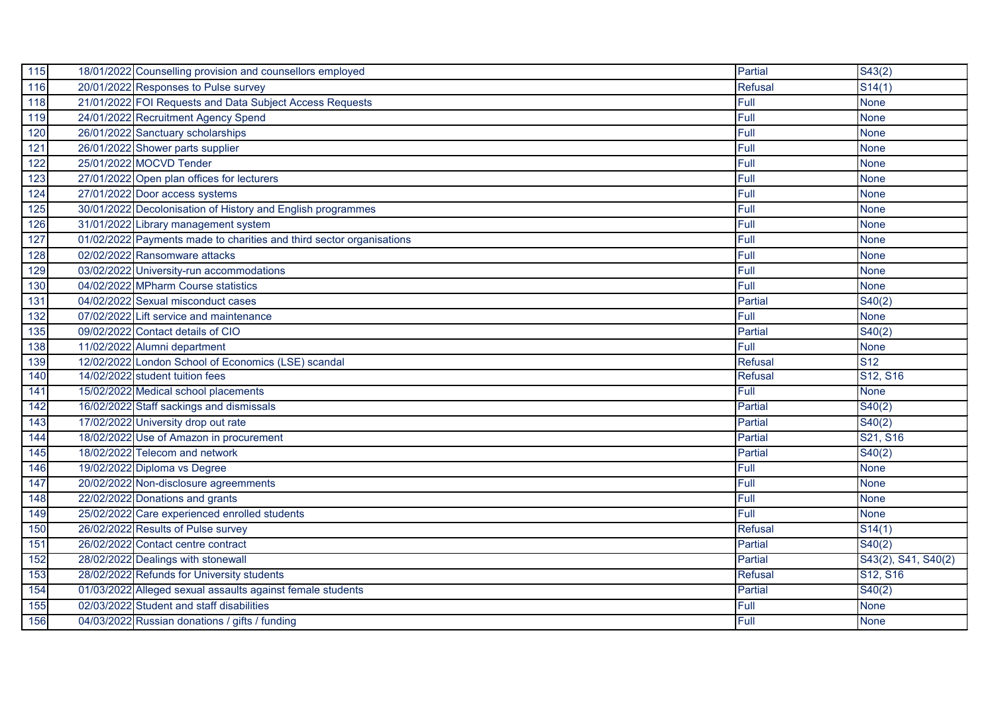| 115 | 18/01/2022 Counselling provision and counsellors employed            | Partial        | S43(2)                            |
|-----|----------------------------------------------------------------------|----------------|-----------------------------------|
| 116 | 20/01/2022 Responses to Pulse survey                                 | <b>Refusal</b> | S14(1)                            |
| 118 | 21/01/2022 FOI Requests and Data Subject Access Requests             | Full           | <b>None</b>                       |
| 119 | 24/01/2022 Recruitment Agency Spend                                  | Full           | <b>None</b>                       |
| 120 | 26/01/2022 Sanctuary scholarships                                    | Full           | <b>None</b>                       |
| 121 | 26/01/2022 Shower parts supplier                                     | Full           | <b>None</b>                       |
| 122 | 25/01/2022 MOCVD Tender                                              | Full           | <b>None</b>                       |
| 123 | 27/01/2022 Open plan offices for lecturers                           | Full           | <b>None</b>                       |
| 124 | 27/01/2022 Door access systems                                       | Full           | <b>None</b>                       |
| 125 | 30/01/2022 Decolonisation of History and English programmes          | Full           | <b>None</b>                       |
| 126 | 31/01/2022 Library management system                                 | Full           | <b>None</b>                       |
| 127 | 01/02/2022 Payments made to charities and third sector organisations | Full           | <b>None</b>                       |
| 128 | 02/02/2022 Ransomware attacks                                        | Full           | <b>None</b>                       |
| 129 | 03/02/2022 University-run accommodations                             | Full           | <b>None</b>                       |
| 130 | 04/02/2022 MPharm Course statistics                                  | Full           | <b>None</b>                       |
| 131 | 04/02/2022 Sexual misconduct cases                                   | Partial        | S40(2)                            |
| 132 | 07/02/2022 Lift service and maintenance                              | Full           | <b>None</b>                       |
| 135 | 09/02/2022 Contact details of CIO                                    | Partial        | S40(2)                            |
| 138 | 11/02/2022 Alumni department                                         | Full           | <b>None</b>                       |
| 139 | 12/02/2022 London School of Economics (LSE) scandal                  | <b>Refusal</b> | <b>S12</b>                        |
| 140 | 14/02/2022 student tuition fees                                      | <b>Refusal</b> | S <sub>12</sub> , S <sub>16</sub> |
| 141 | 15/02/2022 Medical school placements                                 | Full           | <b>None</b>                       |
| 142 | 16/02/2022 Staff sackings and dismissals                             | <b>Partial</b> | $\sqrt{540(2)}$                   |
| 143 | 17/02/2022 University drop out rate                                  | Partial        | S40(2)                            |
| 144 | 18/02/2022 Use of Amazon in procurement                              | Partial        | S21, S16                          |
| 145 | 18/02/2022 Telecom and network                                       | Partial        | S40(2)                            |
| 146 | 19/02/2022 Diploma vs Degree                                         | Full           | <b>None</b>                       |
| 147 | 20/02/2022 Non-disclosure agreemments                                | Full           | <b>None</b>                       |
| 148 | 22/02/2022 Donations and grants                                      | Full           | <b>None</b>                       |
| 149 | 25/02/2022 Care experienced enrolled students                        | Full           | <b>None</b>                       |
| 150 | 26/02/2022 Results of Pulse survey                                   | <b>Refusal</b> | $\overline{S14}(1)$               |
| 151 | 26/02/2022 Contact centre contract                                   | Partial        | S40(2)                            |
| 152 | 28/02/2022 Dealings with stonewall                                   | Partial        | S43(2), S41, S40(2)               |
| 153 | 28/02/2022 Refunds for University students                           | <b>Refusal</b> | S12, S16                          |
| 154 | 01/03/2022 Alleged sexual assaults against female students           | Partial        | S40(2)                            |
| 155 | 02/03/2022 Student and staff disabilities                            | Full           | <b>None</b>                       |
| 156 | 04/03/2022 Russian donations / gifts / funding                       | Full           | <b>None</b>                       |